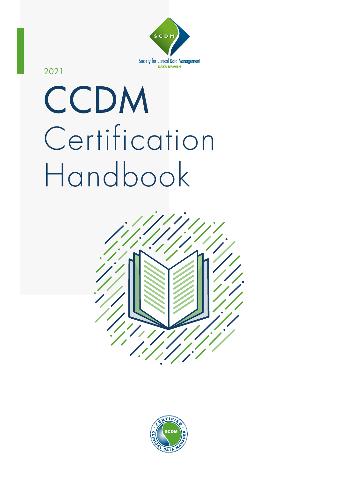

2021

# CCDM Certification Handbook



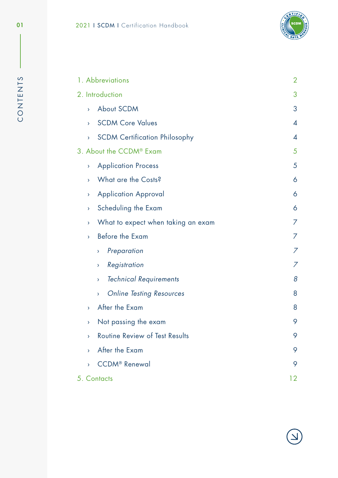

<span id="page-1-0"></span>

|                    | 1. Abbreviations                     | $\overline{2}$           |
|--------------------|--------------------------------------|--------------------------|
|                    | 2. Introduction                      | 3                        |
| $\sum_{i=1}^{n}$   | About SCDM                           | 3                        |
| $\lambda$          | <b>SCDM Core Values</b>              | $\overline{\mathcal{A}}$ |
| $\bar{\mathbf{y}}$ | <b>SCDM Certification Philosophy</b> | $\overline{\mathcal{A}}$ |
|                    | 3. About the CCDM® Exam              | 5                        |
| $\lambda$          | <b>Application Process</b>           | 5                        |
| $\mathcal{P}$      | What are the Costs?                  | 6                        |
| Y.                 | <b>Application Approval</b>          | 6                        |
| Y.                 | Scheduling the Exam                  | 6                        |
| $\mathbf{\Sigma}$  | What to expect when taking an exam   | 7                        |
| $\mathbf{\Sigma}$  | Before the Exam                      | 7                        |
|                    | Preparation<br>×,                    | 7                        |
|                    | Registration<br>×,                   | 7                        |
|                    | <b>Technical Requirements</b><br>Σ   | 8                        |
|                    | <b>Online Testing Resources</b><br>Σ | 8                        |
| $\mathbf{\Sigma}$  | After the Exam                       | 8                        |
| Y                  | Not passing the exam                 | 9                        |
| $\mathbf{\Sigma}$  | Routine Review of Test Results       | 9                        |
| $\mathbf{\Sigma}$  | After the Exam                       | 9                        |
| $\mathbf{\Sigma}$  | <b>CCDM®</b> Renewal                 | 9                        |
|                    | 5. Contacts                          | 12 <sub>2</sub>          |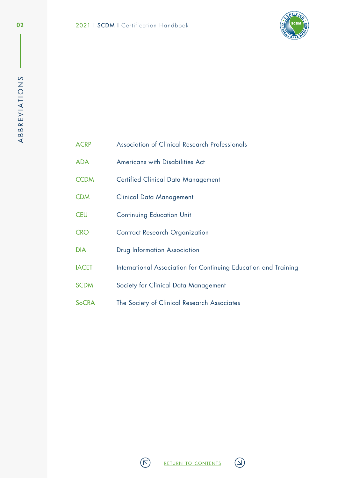

<span id="page-2-0"></span>

| ACRP |  | Association of Clinical Research Professionals |
|------|--|------------------------------------------------|
|      |  |                                                |

- ADA Americans with Disabilities Act
- CCDM Certified Clinical Data Management
- CDM Clinical Data Management
- CEU Continuing Education Unit
- CRO Contract Research Organization
- DIA Drug Information Association
- IACET International Association for Continuing Education and Training
- SCDM Society for Clinical Data Management
- SoCRA The Society of Clinical Research Associates



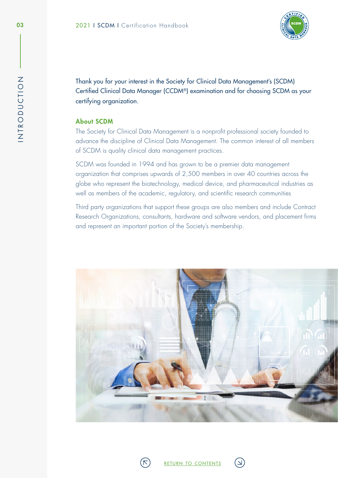

Thank you for your interest in the Society for Clinical Data Management's (SCDM) Certified Clinical Data Manager (CCDM®) examination and for choosing SCDM as your certifying organization.

# About SCDM

The Society for Clinical Data Management is a nonprofit professional society founded to advance the discipline of Clinical Data Management. The common interest of all members of SCDM is quality clinical data management practices.

SCDM was founded in 1994 and has grown to be a premier data management organization that comprises upwards of 2,500 members in over 40 countries across the globe who represent the biotechnology, medical device, and pharmaceutical industries as well as members of the academic, regulatory, and scientific research communities

Third party organizations that support these groups are also members and include Contract Research Organizations, consultants, hardware and software vendors, and placement firms and represent an important portion of the Society's membership.



 $\vee$ 

<span id="page-3-0"></span>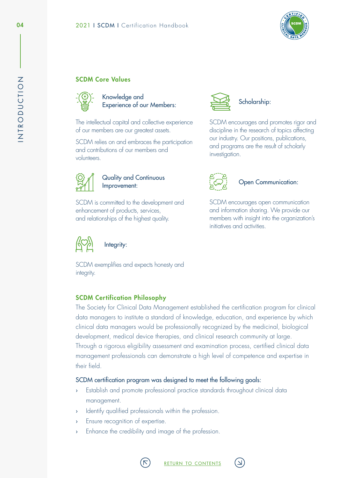

# <span id="page-4-0"></span>SCDM Core Values



Knowledge and Experience of our Members:

The intellectual capital and collective experience of our members are our greatest assets.

SCDM relies on and embraces the participation and contributions of our members and volunteers.



Quality and Continuous Improvement:

SCDM is committed to the development and enhancement of products, services, and relationships of the highest quality.



integrity.

Integrity:

SCDM exemplifies and expects honesty and



# Scholarship:

SCDM encourages and promotes rigor and discipline in the research of topics affecting our industry. Our positions, publications, and programs are the result of scholarly investigation.



# Open Communication:

SCDM encourages open communication and information sharing. We provide our members with insight into the organization's initiatives and activities.

# SCDM Certification Philosophy

The Society for Clinical Data Management established the certification program for clinical data managers to institute a standard of knowledge, education, and experience by which clinical data managers would be professionally recognized by the medicinal, biological development, medical device therapies, and clinical research community at large. Through a rigorous eligibility assessment and examination process, certified clinical data management professionals can demonstrate a high level of competence and expertise in their field.

# SCDM certification program was designed to meet the following goals:

Establish and promote professional practice standards throughout clinical data management.

return to [contents](#page-1-0)

- Identify qualified professionals within the profession.
- › Ensure recognition of expertise.
- Enhance the credibility and image of the profession.

 $\triangledown$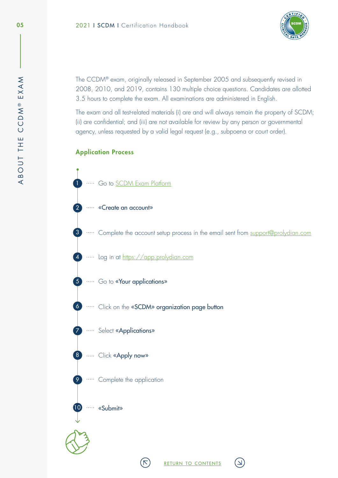

<span id="page-5-0"></span>The CCDM® exam, originally released in September 2005 and subsequently revised in 2008, 2010, and 2019, contains 130 multiple choice questions. Candidates are allotted 3.5 hours to complete the exam. All examinations are administered in English.

The exam and all test-related materials (i) are and will always remain the property of SCDM; (ii) are confidential; and (iii) are not available for review by any person or governmental agency, unless requested by a valid legal request (e.g., subpoena or court order).

# Application Process



- 2 **WED EXECUTE: EXECUTE: EXECUTE: EXECUTE: EXECUTE:**
- 3 **Complete** the account setup process in the email sent from [support@prolydian.com](mailto:support%40prolydian.com?subject=)

return to [contents](#page-1-0)

لا

- 4 **Log in at [https://app.prolydian.com](https://hub.prolydian.com/auth/realms/prolydian/protocol/openid-connect/auth?redirect_uri=https:%2F%2Fapp.prolydian.com%2Fowin%2Fsecurity%2Fkeycloak%2Fprolydian_cookie_auth%2Fcallback&response_type=code&scope=openid+profile+email&state=oidc_state_590c472fb3c744a9a6718e3e1cb3baa5&client_id=prolydian-achieve)**
- 5 **Follow** Go to **«Your applications»**
- 6 Click on the «SCDM» organization page button

 $(\nabla)$ 

- 7 ····· Select «Applications»
- 8 **Click «Apply now»**
- 9 … Complete the application
	- ····· «Submit»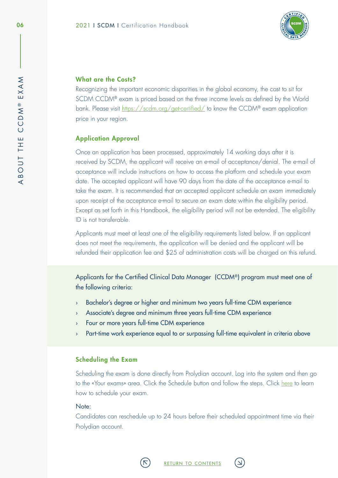

### <span id="page-6-0"></span>What are the Costs?

Recognizing the important economic disparities in the global economy, the cost to sit for SCDM CCDM<sup>®</sup> exam is priced based on the three income levels as defined by the World bank. Please visit <https://scdm.org/get-certified/> to know the CCDM® exam application price in your region.

# Application Approval

Once an application has been processed, approximately 14 working days after it is received by SCDM, the applicant will receive an e-mail of acceptance/denial. The e-mail of acceptance will include instructions on how to access the platform and schedule your exam date. The accepted applicant will have 90 days from the date of the acceptance e-mail to take the exam. It is recommended that an accepted applicant schedule an exam immediately upon receipt of the acceptance e-mail to secure an exam date within the eligibility period. Except as set forth in this Handbook, the eligibility period will not be extended. The eligibility ID is not transferable.

Applicants must meet at least one of the eligibility requirements listed below. If an applicant does not meet the requirements, the application will be denied and the applicant will be refunded their application fee and \$25 of administration costs will be charged on this refund.

Applicants for the Certified Clinical Data Manager (CCDM®) program must meet one of the following criteria:

- › Bachelor's degree or higher and minimum two years full-time CDM experience
- › Associate's degree and minimum three years full-time CDM experience
- › Four or more years full-time CDM experience
- › Part-time work experience equal to or surpassing full-time equivalent in criteria above

# Scheduling the Exam

Scheduling the exam is done directly from Prolydian account. Log into the system and then go to the «Your exams» area. Click the Schedule button and follow the steps. Click [here](https://player.vimeo.com/video/425534356?app_id=122963) to learn how to schedule your exam.

#### Note:

Candidates can reschedule up to 24 hours before their scheduled appointment time via their Prolydian account.



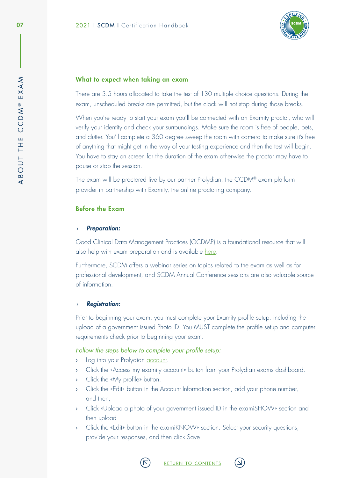

### <span id="page-7-0"></span>What to expect when taking an exam

There are 3.5 hours allocated to take the test of 130 multiple choice questions. During the exam, unscheduled breaks are permitted, but the clock will not stop during those breaks.

When you're ready to start your exam you'll be connected with an Examity proctor, who will verify your identity and check your surroundings. Make sure the room is free of people, pets, and clutter. You'll complete a 360 degree sweep the room with camera to make sure it's free of anything that might get in the way of your testing experience and then the test will begin. You have to stay on screen for the duration of the exam otherwise the proctor may have to pause or stop the session.

The exam will be proctored live by our partner Prolydian, the CCDM® exam platform provider in partnership with Examity, the online proctoring company.

# Before the Exam

#### › *Preparation:*

Good Clinical Data Management Practices (GCDMP) is a foundational resource that will also help with exam preparation and is available [here](https://scdm.org/gcdmp/).

Furthermore, SCDM offers a webinar series on topics related to the exam as well as for professional development, and SCDM Annual Conference sessions are also valuable source of information.

#### › *Registration:*

Prior to beginning your exam, you must complete your Examity profile setup, including the upload of a government issued Photo ID. You MUST complete the profile setup and computer requirements check prior to beginning your exam.

#### *Follow the steps below to complete your profile setup:*

- › Log into your Prolydian [account.](https://app.prolydian.com/organizations/scdm)
- › Click the «Access my examity account» button from your Prolydian exams dashboard.
- › Click the «My profile» button.
- › Click the «Edit» button in the Account Information section, add your phone number, and then,
- › Click «Upload a photo of your government issued ID in the examiSHOW» section and then upload
- › Click the «Edit» button in the examiKNOW» section. Select your security questions, provide your responses, and then click Save



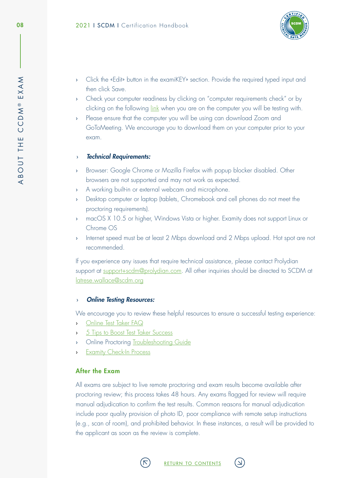

- <span id="page-8-0"></span>› Click the «Edit» button in the examiKEY» section. Provide the required typed input and then click Save.
- › Check your computer readiness by clicking on "computer requirements check" or by clicking on the following [link](https://prod.examity.com/systemcheck/check.aspx) when you are on the computer you will be testing with.
- › Please ensure that the computer you will be using can download Zoom and GoToMeeting. We encourage you to download them on your computer prior to your exam.

### › *Technical Requirements:*

- › Browser: Google Chrome or Mozilla Firefox with popup blocker disabled. Other browsers are not supported and may not work as expected.
- › A working built-in or external webcam and microphone.
- › Desktop computer or laptop (tablets, Chromebook and cell phones do not meet the proctoring requirements).
- › macOS X 10.5 or higher, Windows Vista or higher. Examity does not support Linux or Chrome OS
- Internet speed must be at least 2 Mbps download and 2 Mbps upload. Hot spot are not recommended.

If you experience any issues that require technical assistance, please contact Prolydian support at [support+scdm@prolydian.com.](mailto:support%2Bscdm%40prolydian.com?subject=) All other inquiries should be directed to SCDM at [latrese.wallace@scdm.org](mailto:latrese.wallace%40scdm.org?subject=)

# › *Online Testing Resources:*

We encourage you to review these helpful resources to ensure a successful testing experience:

- › [Online Test Taker FAQ](https://www.prolydian.com/test-taker-faqs)
- > [5 Tips to Boost Test Taker Success](https://examity.com/5-tips-to-boost-test-taker-success/)
- › Online Proctoring [Troubleshooting Guide](https://www.examity.com/online-proctoring-troubleshooting-guide-%20for-test-takers-v4/)
- › [Examity Check-In Process](https://www.youtube.com/watch?v=1J7Fm8fXyo0&ab_channel=EdTech)

# After the Exam

All exams are subject to live remote proctoring and exam results become available after proctoring review; this process takes 48 hours. Any exams flagged for review will require manual adjudication to confirm the test results. Common reasons for manual adjudication include poor quality provision of photo ID, poor compliance with remote setup instructions (e.g., scan of room), and prohibited behavior. In these instances, a result will be provided to the applicant as soon as the review is complete.



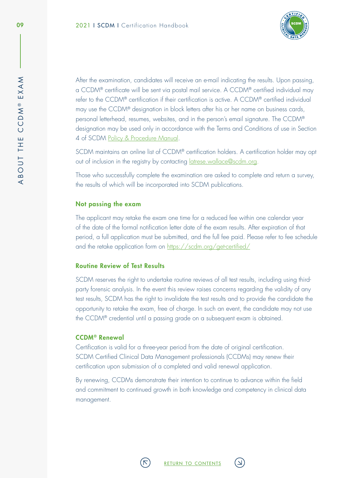

<span id="page-9-0"></span>After the examination, candidates will receive an e-mail indicating the results. Upon passing, a CCDM® certificate will be sent via postal mail service. A CCDM® certified individual may refer to the CCDM® certification if their certification is active. A CCDM® certified individual may use the CCDM® designation in block letters after his or her name on business cards, personal letterhead, resumes, websites, and in the person's email signature. The CCDM® designation may be used only in accordance with the Terms and Conditions of use in Section 4 of SCDM [Policy & Procedure Manual.](https://scdm.org/policies-procedures)

SCDM maintains an online list of CCDM® certification holders. A certification holder may opt out of inclusion in the registry by contacting *datrese[.](mailto:info%40scdm.org?subject=)wallace@scdm.org.* 

Those who successfully complete the examination are asked to complete and return a survey, the results of which will be incorporated into SCDM publications.

#### Not passing the exam

The applicant may retake the exam one time for a reduced fee within one calendar year of the date of the formal notification letter date of the exam results. After expiration of that period, a full application must be submitted, and the full fee paid. Please refer to fee schedule and the retake application form on<https://scdm.org/get-certified/>

#### Routine Review of Test Results

SCDM reserves the right to undertake routine reviews of all test results, including using thirdparty forensic analysis. In the event this review raises concerns regarding the validity of any test results, SCDM has the right to invalidate the test results and to provide the candidate the opportunity to retake the exam, free of charge. In such an event, the candidate may not use the CCDM® credential until a passing grade on a subsequent exam is obtained.

#### CCDM® Renewal

Certification is valid for a three-year period from the date of original certification. SCDM Certified Clinical Data Management professionals (CCDMs) may renew their certification upon submission of a completed and valid renewal application.

By renewing, CCDMs demonstrate their intention to continue to advance within the field and commitment to continued growth in both knowledge and competency in clinical data management.

 $\overline{\mathbf{X}}$ 



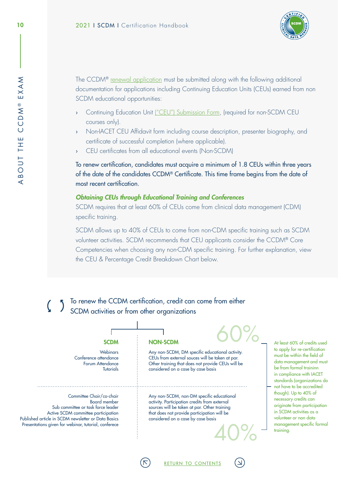

The CCDM® [renewal application](https://scdm.org/get-certified/) must be submitted along with the following additional documentation for applications including Continuing Education Units (CEUs) earned from non SCDM educational opportunities:

- › Continuing Education Unit [\("CEU"\) Submission Form,](https://scdm.org/get-certified/) (required for non-SCDM CEU courses only).
- › Non-IACET CEU Affidavit form including course description, presenter biography, and certificate of successful completion (where applicable).
- CEU certificates from all educational events (Non-SCDM)

To renew certification, candidates must acquire a minimum of 1.8 CEUs within three years of the date of the candidates CCDM® Certificate. This time frame begins from the date of most recent certification.

# *Obtaining CEUs through Educational Training and Conferences*

SCDM requires that at least 60% of CEUs come from clinical data management (CDM) specific training.

SCDM allows up to 40% of CEUs to come from non-CDM specific training such as SCDM volunteer activities. SCDM recommends that CEU applicants consider the CCDM® Core Competencies when choosing any non-CDM specific training. For further explanation, view the CEU & Percentage Credit Breakdown Chart below.

To renew the CCDM certification, credit can come from either SCDM activities or from other organizations

Webinars Conference attendance Forum Attendance **Tutorials** 

Committee Chair/co-chair Board member Sub committee or task force leader Active SCDM committee participation Published article in SCDM newsletter or Data Basics Presentations given for webinar, tutorial, conferece

 $SCDM$  NON-SCDM 60%

Any non-SCDM, DM specific educational activity. CEUs from external souces will be taken at par. Other training that does not provide CEUs will be considered on a case by case basis

Any non-SCDM, non-DM specific educational activity. Participation credits from external sources will be taken at par. Other training that does not provide participation will be considered on a case by case basis

return to [contents](#page-1-0)

40%

At least 60% of credits used to apply for re-certification must be within the field of data management and must be from formal traininn in compliance with IACET standards (organizations do not have to be accredited though). Up to 40% of necessary credits can originate from participation in SCDM activities as a volunteer or non data management specific formal training.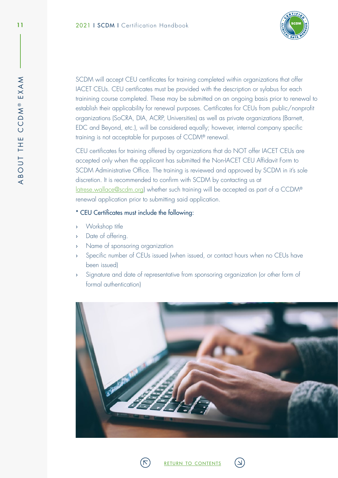

SCDM will accept CEU certificates for training completed within organizations that offer IACET CEUs. CEU certificates must be provided with the description or sylabus for each trainining course completed. These may be submitted on an ongoing basis prior to renewal to establish their applicability for renewal purposes. Certificates for CEUs from public/nonprofit organizations (SoCRA, DIA, ACRP, Universities) as well as private organizations (Barnett, EDC and Beyond, etc.), will be considered equally; however, internal company specific training is not acceptable for purposes of CCDM® renewal.

CEU certificates for training offered by organizations that do NOT offer IACET CEUs are accepted only when the applicant has submitted the Non-IACET CEU Affidavit Form to SCDM Administrative Office. The training is reviewed and approved by SCDM in it's sole discretion. It is recommended to confirm with SCDM by contacting us at [latrese.wallace@scdm.org\)](mailto:latrese.wallace%40scdm.org?subject=) whether such training will be accepted as part of a CCDM® renewal application prior to submitting said application.

# \* CEU Certificates must include the following:

- › Workshop title
- › Date of offering.
- › Name of sponsoring organization
- › Specific number of CEUs issued (when issued, or contact hours when no CEUs have been issued)
- › Signature and date of representative from sponsoring organization (or other form of formal authentication)